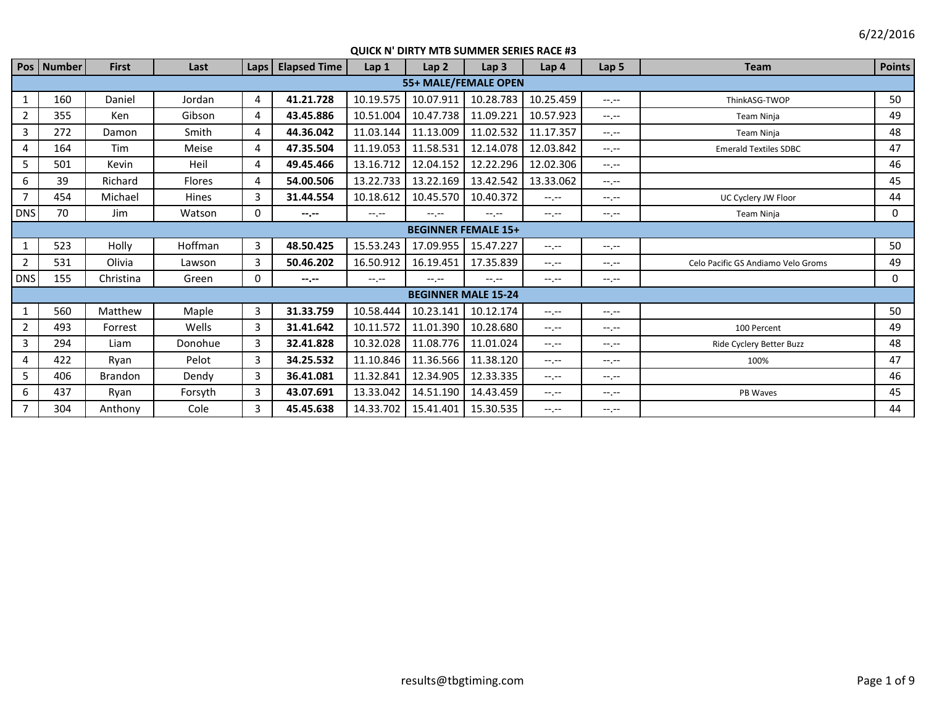|                | Pos   Number | <b>First</b>   | Last           | Laps           | <b>Elapsed Time</b> | Lap 1       | Lap <sub>2</sub>           | Lap <sub>3</sub> | Lap <sub>4</sub> | Lap <sub>5</sub> | <b>Team</b>                        | <b>Points</b> |
|----------------|--------------|----------------|----------------|----------------|---------------------|-------------|----------------------------|------------------|------------------|------------------|------------------------------------|---------------|
|                |              |                |                |                |                     |             | 55+ MALE/FEMALE OPEN       |                  |                  |                  |                                    |               |
| 1              | 160          | Daniel         | Jordan         | 4              | 41.21.728           | 10.19.575   | 10.07.911                  | 10.28.783        | 10.25.459        | $-1 - 1 - 1 = 0$ | ThinkASG-TWOP                      | 50            |
| $\overline{2}$ | 355          | Ken            | Gibson         | 4              | 43.45.886           | 10.51.004   | 10.47.738                  | 11.09.221        | 10.57.923        | $-1$ , $-1$      | Team Ninja                         | 49            |
| 3              | 272          | Damon          | Smith          | $\overline{4}$ | 44.36.042           | 11.03.144   | 11.13.009                  | 11.02.532        | 11.17.357        | $-1$ , $-1$      | Team Ninja                         | 48            |
| 4              | 164          | Tim            | Meise          | $\overline{4}$ | 47.35.504           | 11.19.053   | 11.58.531                  | 12.14.078        | 12.03.842        | $-1$ , $-1$      | <b>Emerald Textiles SDBC</b>       | 47            |
| 5              | 501          | Kevin          | Heil           | 4              | 49.45.466           | 13.16.712   | 12.04.152                  | 12.22.296        | 12.02.306        | $-1 - 1 - 1 = 0$ |                                    | 46            |
| 6              | 39           | Richard        | <b>Flores</b>  | $\overline{4}$ | 54.00.506           | 13.22.733   | 13.22.169                  | 13.42.542        | 13.33.062        | $-1$ , $-1$      |                                    | 45            |
| $\overline{7}$ | 454          | Michael        | Hines          | 3              | 31.44.554           | 10.18.612   | 10.45.570                  | 10.40.372        | $-1$ , $-1$      | $-1$ , $-1$      | UC Cyclery JW Floor                | 44            |
| <b>DNS</b>     | 70           | Jim            | Watson         | 0              | $-1 - 1 - 1 = 0$    | $-1$ , $-1$ | $-1$ , $-1$                | $-1, -1$         | $-1 - 1 - 1 = 0$ | $-1.1 - 1.0$     | <b>Team Ninja</b>                  | 0             |
|                |              |                |                |                |                     |             | <b>BEGINNER FEMALE 15+</b> |                  |                  |                  |                                    |               |
| 1              | 523          | Holly          | <b>Hoffman</b> | 3              | 48.50.425           | 15.53.243   | 17.09.955                  | 15.47.227        | $-1$ , $-1$      | $-1$ , $-1$      |                                    | 50            |
| $\overline{2}$ | 531          | Olivia         | Lawson         | 3              | 50.46.202           | 16.50.912   | 16.19.451                  | 17.35.839        | $-1.1 -$         | $-1.1 -$         | Celo Pacific GS Andiamo Velo Groms | 49            |
| <b>DNS</b>     | 155          | Christina      | Green          | $\mathbf 0$    | $-1$ .              | $-1$ , $-1$ | $-1 - 1 - 1 = 0$           | $-1 - 1 - 1 = 0$ | $-1$ , $-1$      | $-1$ , $-1$      |                                    | 0             |
|                |              |                |                |                |                     |             | <b>BEGINNER MALE 15-24</b> |                  |                  |                  |                                    |               |
| 1              | 560          | Matthew        | Maple          | 3              | 31.33.759           | 10.58.444   | 10.23.141                  | 10.12.174        | $-1$ , $-1$      | $-1$ , $-1$      |                                    | 50            |
| $\overline{2}$ | 493          | Forrest        | Wells          | 3              | 31.41.642           | 10.11.572   | 11.01.390                  | 10.28.680        | $-1$ , $-1$      | $-1$ , $-1$      | 100 Percent                        | 49            |
| 3              | 294          | Liam           | Donohue        | 3              | 32.41.828           | 10.32.028   | 11.08.776                  | 11.01.024        | $-1$ , $-1$      | $-1$ , $-1$      | Ride Cyclery Better Buzz           | 48            |
| 4              | 422          | Ryan           | Pelot          | 3              | 34.25.532           | 11.10.846   | 11.36.566                  | 11.38.120        | $-1$ , $-1$      | $-1 - 1 - 1 = 0$ | 100%                               | 47            |
| 5              | 406          | <b>Brandon</b> | Dendy          | 3              | 36.41.081           | 11.32.841   | 12.34.905                  | 12.33.335        | $-1$ , $-1$      | $-1 - 1 - 1 = 0$ |                                    | 46            |
| 6              | 437          | Ryan           | Forsyth        | 3              | 43.07.691           | 13.33.042   | 14.51.190                  | 14.43.459        | $-1$ , $-1$      | $-1 - 1 - 1 = 0$ | PB Waves                           | 45            |
| $\overline{7}$ | 304          | Anthony        | Cole           | 3              | 45.45.638           | 14.33.702   | 15.41.401                  | 15.30.535        | $-1$ , $-1$      | $-1. - -$        |                                    | 44            |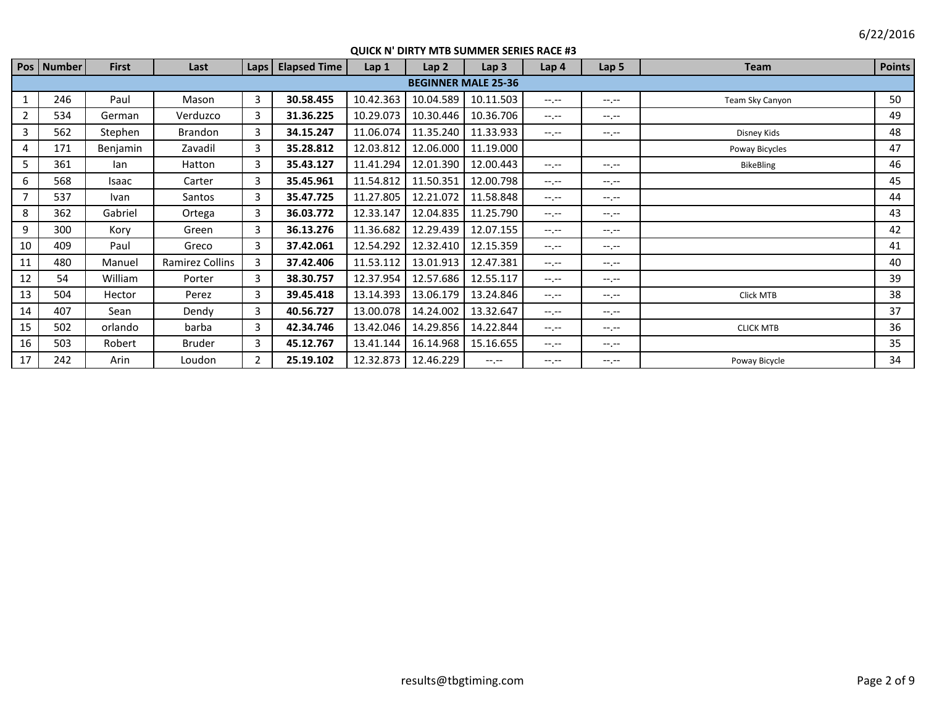|                | Pos   Number | <b>First</b> | Last            | Laps | <b>Elapsed Time</b> | Lap 1     | Lap <sub>2</sub> | Lap <sub>3</sub>           | Lap 4            | Lap <sub>5</sub> | <b>Team</b>      | <b>Points</b> |
|----------------|--------------|--------------|-----------------|------|---------------------|-----------|------------------|----------------------------|------------------|------------------|------------------|---------------|
|                |              |              |                 |      |                     |           |                  | <b>BEGINNER MALE 25-36</b> |                  |                  |                  |               |
| 1              | 246          | Paul         | Mason           | 3    | 30.58.455           | 10.42.363 | 10.04.589        | 10.11.503                  | $-1$ , $-1$      | $-1. - -$        | Team Sky Canyon  | 50            |
| $\overline{2}$ | 534          | German       | Verduzco        | 3    | 31.36.225           | 10.29.073 | 10.30.446        | 10.36.706                  | $-1 - 1 - 1 = 0$ | $-1$ , $-1$      |                  | 49            |
| 3              | 562          | Stephen      | Brandon         | 3    | 34.15.247           | 11.06.074 | 11.35.240        | 11.33.933                  | $-1.1$           | $-1$ , $-1$      | Disney Kids      | 48            |
| 4              | 171          | Benjamin     | Zavadil         | 3    | 35.28.812           | 12.03.812 | 12.06.000        | 11.19.000                  |                  |                  | Poway Bicycles   | 47            |
| 5              | 361          | lan          | Hatton          | 3    | 35.43.127           | 11.41.294 | 12.01.390        | 12.00.443                  | $-1. -1$         | $-1$ , $-1$      | <b>BikeBling</b> | 46            |
| 6              | 568          | Isaac        | Carter          | 3    | 35.45.961           | 11.54.812 | 11.50.351        | 12.00.798                  | $-1$ , $-1$      | $-1$ , $-1$      |                  | 45            |
| 7              | 537          | Ivan         | Santos          | 3    | 35.47.725           | 11.27.805 | 12.21.072        | 11.58.848                  | $-1.1$           | $-1$ , $-1$      |                  | 44            |
| 8              | 362          | Gabriel      | Ortega          | 3    | 36.03.772           | 12.33.147 | 12.04.835        | 11.25.790                  | $-1 - 1 - 1 = 0$ | $-1$ , $-1$      |                  | 43            |
| 9              | 300          | Kory         | Green           | 3    | 36.13.276           | 11.36.682 | 12.29.439        | 12.07.155                  | $-1$ , $-1$      | $-1$ , $-1$      |                  | 42            |
| 10             | 409          | Paul         | Greco           | 3    | 37.42.061           | 12.54.292 | 12.32.410        | 12.15.359                  | $-1 - 1 - 1 = 0$ | $-1$ , $-1$      |                  | 41            |
| 11             | 480          | Manuel       | Ramirez Collins | 3    | 37.42.406           | 11.53.112 | 13.01.913        | 12.47.381                  | $-1 - 1 - 1 = 0$ | $-1$ , $-1$      |                  | 40            |
| 12             | 54           | William      | Porter          | 3    | 38.30.757           | 12.37.954 | 12.57.686        | 12.55.117                  | $-1$ , $-1$      | $-1$ , $-1$      |                  | 39            |
| 13             | 504          | Hector       | Perez           | 3    | 39.45.418           | 13.14.393 | 13.06.179        | 13.24.846                  | $-1 - 1 - 1$     | $-1$ , $-1$      | Click MTB        | 38            |
| 14             | 407          | Sean         | Dendy           | 3    | 40.56.727           | 13.00.078 | 14.24.002        | 13.32.647                  | $-1 - 1 - 1 = 0$ | $-1$ , $-1$      |                  | 37            |
| 15             | 502          | orlando      | barba           | 3    | 42.34.746           | 13.42.046 | 14.29.856        | 14.22.844                  | $-1 - 1 - 1 = 0$ | $-1$ , $-1$      | <b>CLICK MTB</b> | 36            |
| 16             | 503          | Robert       | <b>Bruder</b>   | 3    | 45.12.767           | 13.41.144 | 16.14.968        | 15.16.655                  | $-1. -1$         | $-1$ , $-1$      |                  | 35            |
| 17             | 242          | Arin         | Loudon          | 2    | 25.19.102           | 12.32.873 | 12.46.229        | $-1 - 1 - 1 = 0$           | $-1$ , $-1$      | $-1$ , $-1$      | Poway Bicycle    | 34            |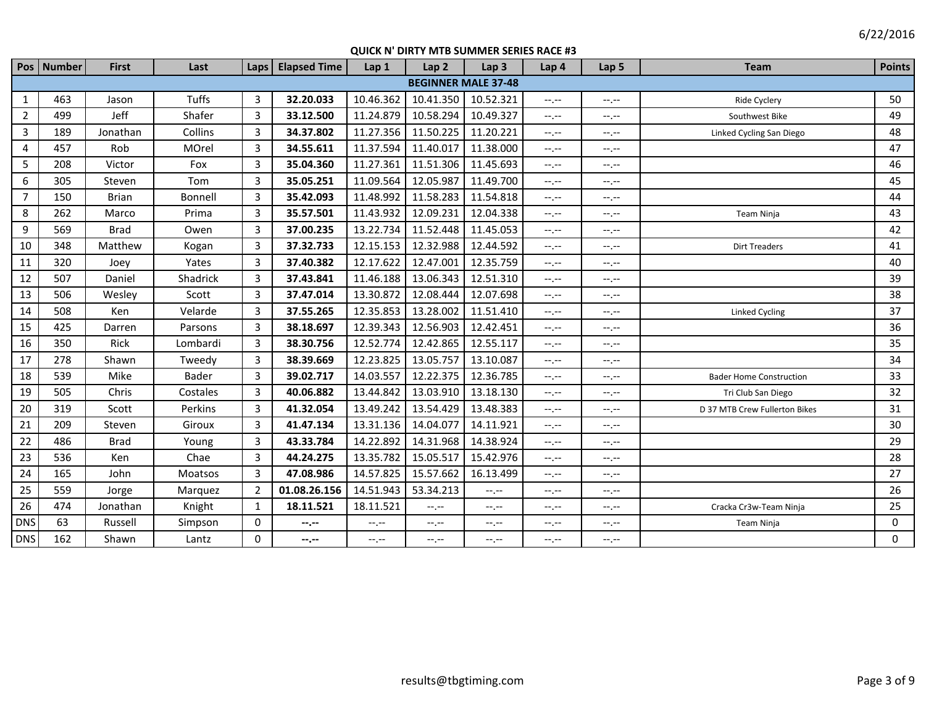|                | Pos   Number               | First        | Last         | Laps           | <b>Elapsed Time</b> | Lap 1            | Lap <sub>2</sub> | Lap <sub>3</sub> | Lap 4            | Lap <sub>5</sub> | <b>Team</b>                    | <b>Points</b> |  |
|----------------|----------------------------|--------------|--------------|----------------|---------------------|------------------|------------------|------------------|------------------|------------------|--------------------------------|---------------|--|
|                | <b>BEGINNER MALE 37-48</b> |              |              |                |                     |                  |                  |                  |                  |                  |                                |               |  |
| $\mathbf{1}$   | 463                        | Jason        | <b>Tuffs</b> | 3              | 32.20.033           | 10.46.362        | 10.41.350        | 10.52.321        | $-1$             | $-1$ , $-1$      | Ride Cyclery                   | 50            |  |
| $\overline{2}$ | 499                        | Jeff         | Shafer       | 3              | 33.12.500           | 11.24.879        | 10.58.294        | 10.49.327        | $-1$ , $-1$      | $-1 - 1 - 1 = 0$ | Southwest Bike                 | 49            |  |
| $\overline{3}$ | 189                        | Jonathan     | Collins      | 3              | 34.37.802           | 11.27.356        | 11.50.225        | 11.20.221        | $-1$ , $-1$      | $-1 - 1 - 1 = 0$ | Linked Cycling San Diego       | 48            |  |
| 4              | 457                        | Rob          | MOrel        | 3              | 34.55.611           | 11.37.594        | 11.40.017        | 11.38.000        | $-1$             | $-1$ . $-1$      |                                | 47            |  |
| 5              | 208                        | Victor       | Fox          | 3              | 35.04.360           | 11.27.361        | 11.51.306        | 11.45.693        | $-1$ , $-1$      | $-1$             |                                | 46            |  |
| 6              | 305                        | Steven       | Tom          | 3              | 35.05.251           | 11.09.564        | 12.05.987        | 11.49.700        | $-1$ , $-1$      | $-1 - 1 - 1 = 0$ |                                | 45            |  |
| $\overline{7}$ | 150                        | <b>Brian</b> | Bonnell      | 3              | 35.42.093           | 11.48.992        | 11.58.283        | 11.54.818        | $-1, -1$         | $-1$ , $-1$      |                                | 44            |  |
| 8              | 262                        | Marco        | Prima        | 3              | 35.57.501           | 11.43.932        | 12.09.231        | 12.04.338        | $-1$ , $-1$      | $-1$ .           | <b>Team Ninja</b>              | 43            |  |
| 9              | 569                        | <b>Brad</b>  | Owen         | 3              | 37.00.235           | 13.22.734        | 11.52.448        | 11.45.053        | $-1 - 1 - 1 = 0$ | $-1$ .           |                                | 42            |  |
| 10             | 348                        | Matthew      | Kogan        | 3              | 37.32.733           | 12.15.153        | 12.32.988        | 12.44.592        | $-1 - 1 - 1 = 0$ | $-1$ .           | <b>Dirt Treaders</b>           | 41            |  |
| 11             | 320                        | Joey         | Yates        | 3              | 37.40.382           | 12.17.622        | 12.47.001        | 12.35.759        | $-1$ , $-1$      | $-1$ .           |                                | 40            |  |
| 12             | 507                        | Daniel       | Shadrick     | 3              | 37.43.841           | 11.46.188        | 13.06.343        | 12.51.310        | $-1$ , $-1$      | $-1 - 1 - 1 = 0$ |                                | 39            |  |
| 13             | 506                        | Wesley       | Scott        | 3              | 37.47.014           | 13.30.872        | 12.08.444        | 12.07.698        | $-1$ , $-1$      | $-1, -1$         |                                | 38            |  |
| 14             | 508                        | <b>Ken</b>   | Velarde      | 3              | 37.55.265           | 12.35.853        | 13.28.002        | 11.51.410        | $-1 - 1 - 1 = 0$ | $-1 - 1 - 1 = 0$ | Linked Cycling                 | 37            |  |
| 15             | 425                        | Darren       | Parsons      | 3              | 38.18.697           | 12.39.343        | 12.56.903        | 12.42.451        | $-1, -1$         | $-1, -1$         |                                | 36            |  |
| 16             | 350                        | Rick         | Lombardi     | 3              | 38.30.756           | 12.52.774        | 12.42.865        | 12.55.117        | $-1$             | $-1 - 1 - 1 = 0$ |                                | 35            |  |
| 17             | 278                        | Shawn        | Tweedy       | 3              | 38.39.669           | 12.23.825        | 13.05.757        | 13.10.087        | $-1 - 1 - 1 = 0$ | $-1$ .           |                                | 34            |  |
| 18             | 539                        | Mike         | <b>Bader</b> | 3              | 39.02.717           | 14.03.557        | 12.22.375        | 12.36.785        | $-1$             | $-1$ . $-1$      | <b>Bader Home Construction</b> | 33            |  |
| 19             | 505                        | Chris        | Costales     | 3              | 40.06.882           | 13.44.842        | 13.03.910        | 13.18.130        | $-1, -1$         | $-1 - 1 - 1$     | Tri Club San Diego             | 32            |  |
| 20             | 319                        | Scott        | Perkins      | 3              | 41.32.054           | 13.49.242        | 13.54.429        | 13.48.383        | $-1$             | --.--            | D 37 MTB Crew Fullerton Bikes  | 31            |  |
| 21             | 209                        | Steven       | Giroux       | 3              | 41.47.134           | 13.31.136        | 14.04.077        | 14.11.921        | $-1$             | $-1, -1$         |                                | 30            |  |
| 22             | 486                        | <b>Brad</b>  | Young        | 3              | 43.33.784           | 14.22.892        | 14.31.968        | 14.38.924        | $-1$             | --.--            |                                | 29            |  |
| 23             | 536                        | Ken          | Chae         | 3              | 44.24.275           | 13.35.782        | 15.05.517        | 15.42.976        | $-1 - 1 - 1 = 0$ | $-1$ .           |                                | 28            |  |
| 24             | 165                        | John         | Moatsos      | 3              | 47.08.986           | 14.57.825        | 15.57.662        | 16.13.499        | $-1, -1$         | $-1, -1$         |                                | 27            |  |
| 25             | 559                        | Jorge        | Marquez      | $\overline{2}$ | 01.08.26.156        | 14.51.943        | 53.34.213        | $-1$             | $-1, -1$         | $-1$ . $-1$      |                                | 26            |  |
| 26             | 474                        | Jonathan     | Knight       | 1              | 18.11.521           | 18.11.521        | $-1 - 1 - 1 = 0$ | $-1$             | $-1, -1$         | $-1$ .           | Cracka Cr3w-Team Ninja         | 25            |  |
| <b>DNS</b>     | 63                         | Russell      | Simpson      | 0              | --.--               | $-1, -1$         | $-1 - 1 - 1 = 0$ | $-1, -1$         | $-1, -1$         | $-1$ . $-1$      | Team Ninja                     | 0             |  |
| <b>DNS</b>     | 162                        | Shawn        | Lantz        | $\mathbf 0$    | --.--               | $-1 - 1 - 1 = 0$ | $-1 - 1 - 1 = 0$ | $-1$             | $-1, -1$         | $-1 - 1 - 1 = 0$ |                                | $\mathbf 0$   |  |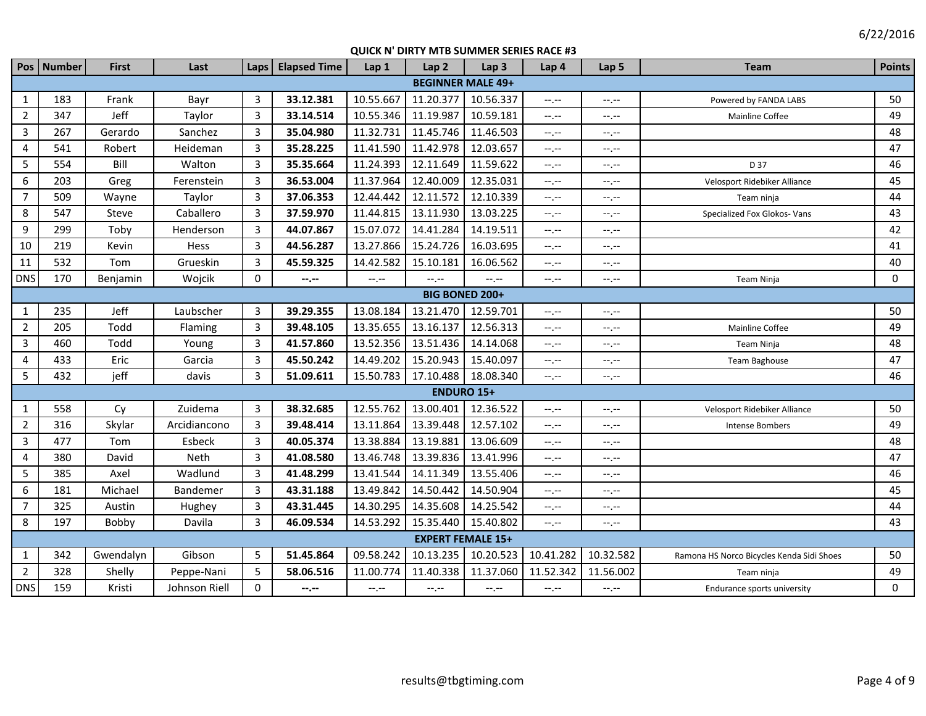|                | Pos Number               | First     | Last          | Laps                    | <b>Elapsed Time</b> | Lap 1       | Lap <sub>2</sub>         | Lap <sub>3</sub> | Lap 4       | Lap <sub>5</sub> | <b>Team</b>                               | <b>Points</b> |  |  |
|----------------|--------------------------|-----------|---------------|-------------------------|---------------------|-------------|--------------------------|------------------|-------------|------------------|-------------------------------------------|---------------|--|--|
|                | <b>BEGINNER MALE 49+</b> |           |               |                         |                     |             |                          |                  |             |                  |                                           |               |  |  |
| $\mathbf{1}$   | 183                      | Frank     | Bayr          | 3                       | 33.12.381           | 10.55.667   | 11.20.377                | 10.56.337        | $-1, -1$    | --.--            | Powered by FANDA LABS                     | 50            |  |  |
| $\overline{2}$ | 347                      | Jeff      | Taylor        | 3                       | 33.14.514           | 10.55.346   | 11.19.987                | 10.59.181        | $-1, -1$    | $-1, -1$         | Mainline Coffee                           | 49            |  |  |
| $\overline{3}$ | 267                      | Gerardo   | Sanchez       | 3                       | 35.04.980           | 11.32.731   | 11.45.746                | 11.46.503        | $-1, -1$    | $-1, -1$         |                                           | 48            |  |  |
| $\overline{4}$ | 541                      | Robert    | Heideman      | $\overline{\mathbf{3}}$ | 35.28.225           | 11.41.590   | 11.42.978                | 12.03.657        | $-1, -1$    | $-1, -1$         |                                           | 47            |  |  |
| 5              | 554                      | Bill      | Walton        | 3                       | 35.35.664           | 11.24.393   | 12.11.649                | 11.59.622        | $-1, -1$    | $-1$ .           | D 37                                      | 46            |  |  |
| 6              | 203                      | Greg      | Ferenstein    | 3                       | 36.53.004           | 11.37.964   | 12.40.009                | 12.35.031        | $-1, -1$    | $-1$ . $-1$      | Velosport Ridebiker Alliance              | 45            |  |  |
| $\overline{7}$ | 509                      | Wayne     | Taylor        | 3                       | 37.06.353           | 12.44.442   | 12.11.572                | 12.10.339        | $-1, -1$    | $-1, -1$         | Team ninja                                | 44            |  |  |
| 8              | 547                      | Steve     | Caballero     | 3                       | 37.59.970           | 11.44.815   | 13.11.930                | 13.03.225        | $--, --$    | --.--            | Specialized Fox Glokos- Vans              | 43            |  |  |
| 9              | 299                      | Toby      | Henderson     | 3                       | 44.07.867           | 15.07.072   | 14.41.284                | 14.19.511        | $-1, -1$    | --.--            |                                           | 42            |  |  |
| 10             | 219                      | Kevin     | Hess          | 3                       | 44.56.287           | 13.27.866   | 15.24.726                | 16.03.695        | $-1, -1$    | $-1$             |                                           | 41            |  |  |
| 11             | 532                      | Tom       | Grueskin      | 3                       | 45.59.325           | 14.42.582   | 15.10.181                | 16.06.562        | $-1, -1$    | --.--            |                                           | 40            |  |  |
| <b>DNS</b>     | 170                      | Benjamin  | Wojcik        | $\mathbf 0$             | --.--               | $-1$ , $-1$ | $-1$                     | $-1, -1$         | $-1, -1$    | $-1$ , $-1$      | Team Ninja                                | $\Omega$      |  |  |
|                |                          |           |               |                         |                     |             | <b>BIG BONED 200+</b>    |                  |             |                  |                                           |               |  |  |
| $\mathbf{1}$   | 235                      | Jeff      | Laubscher     | 3                       | 39.29.355           | 13.08.184   | 13.21.470                | 12.59.701        | $-1, -1$    | $-1$ .           |                                           | 50            |  |  |
| $\overline{2}$ | 205                      | Todd      | Flaming       | 3                       | 39.48.105           | 13.35.655   | 13.16.137                | 12.56.313        | $--, --$    | $-1, -1$         | <b>Mainline Coffee</b>                    | 49            |  |  |
| $\overline{3}$ | 460                      | Todd      | Young         | 3                       | 41.57.860           | 13.52.356   | 13.51.436                | 14.14.068        | $-1, -1$    | $-1$ , $-1$      | Team Ninja                                | 48            |  |  |
| 4              | 433                      | Eric      | Garcia        | 3                       | 45.50.242           | 14.49.202   | 15.20.943                | 15.40.097        | $-1, -1$    | $-1$ . $-1$      | Team Baghouse                             | 47            |  |  |
| 5              | 432                      | jeff      | davis         | 3                       | 51.09.611           | 15.50.783   | 17.10.488                | 18.08.340        | $-1, -1$    | $-1, -1$         |                                           | 46            |  |  |
|                |                          |           |               |                         |                     |             | <b>ENDURO 15+</b>        |                  |             |                  |                                           |               |  |  |
| $\mathbf{1}$   | 558                      | Cy        | Zuidema       | 3                       | 38.32.685           | 12.55.762   | 13.00.401                | 12.36.522        | $-1$ , $-1$ | --.--            | Velosport Ridebiker Alliance              | 50            |  |  |
| $\overline{2}$ | 316                      | Skylar    | Arcidiancono  | 3                       | 39.48.414           | 13.11.864   | 13.39.448                | 12.57.102        | $-1, -1$    | $-1, -1$         | <b>Intense Bombers</b>                    | 49            |  |  |
| $\overline{3}$ | 477                      | Tom       | Esbeck        | 3                       | 40.05.374           | 13.38.884   | 13.19.881                | 13.06.609        | $-1, -1$    | $-1, -1$         |                                           | 48            |  |  |
| 4              | 380                      | David     | Neth          | 3                       | 41.08.580           | 13.46.748   | 13.39.836                | 13.41.996        | $-1, -1$    | $-1, -1$         |                                           | 47            |  |  |
| 5              | 385                      | Axel      | Wadlund       | 3                       | 41.48.299           | 13.41.544   | 14.11.349                | 13.55.406        | $-1, -1$    | --.--            |                                           | 46            |  |  |
| 6              | 181                      | Michael   | Bandemer      | 3                       | 43.31.188           | 13.49.842   | 14.50.442                | 14.50.904        | $-1, -1$    | $-1, -1$         |                                           | 45            |  |  |
| $\overline{7}$ | 325                      | Austin    | Hughey        | 3                       | 43.31.445           | 14.30.295   | 14.35.608                | 14.25.542        | $-1, -1$    | $-1, -1$         |                                           | 44            |  |  |
| 8              | 197                      | Bobby     | Davila        | 3                       | 46.09.534           | 14.53.292   | 15.35.440                | 15.40.802        | $-1, -1$    | $-1$ , $-1$      |                                           | 43            |  |  |
|                |                          |           |               |                         |                     |             | <b>EXPERT FEMALE 15+</b> |                  |             |                  |                                           |               |  |  |
| $\mathbf{1}$   | 342                      | Gwendalyn | Gibson        | 5                       | 51.45.864           | 09.58.242   | 10.13.235                | 10.20.523        | 10.41.282   | 10.32.582        | Ramona HS Norco Bicycles Kenda Sidi Shoes | 50            |  |  |
| $\overline{2}$ | 328                      | Shelly    | Peppe-Nani    | 5                       | 58.06.516           | 11.00.774   | 11.40.338                | 11.37.060        | 11.52.342   | 11.56.002        | Team ninja                                | 49            |  |  |
| <b>DNS</b>     | 159                      | Kristi    | Johnson Riell | $\mathbf 0$             | --.--               | $-1$ , $-1$ | $-1$ , $-1$              | $-1 - 1 - 1 = 0$ | $-1$        | $-1$ , $-1$      | Endurance sports university               | $\mathbf{0}$  |  |  |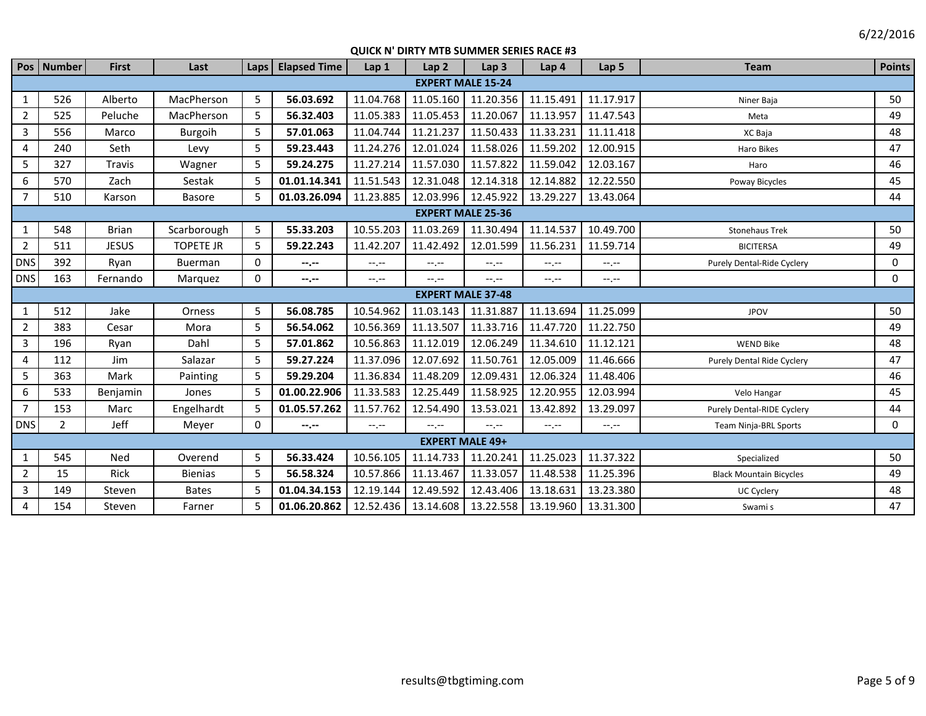|                | Pos Number               | <b>First</b> | Last             | Laps         | <b>Elapsed Time</b> | Lap <sub>1</sub> | Lap2                     | Lap <sub>3</sub> | Lap <sub>4</sub> | Lap <sub>5</sub> | <b>Team</b>                    | <b>Points</b> |  |
|----------------|--------------------------|--------------|------------------|--------------|---------------------|------------------|--------------------------|------------------|------------------|------------------|--------------------------------|---------------|--|
|                | <b>EXPERT MALE 15-24</b> |              |                  |              |                     |                  |                          |                  |                  |                  |                                |               |  |
| $\mathbf{1}$   | 526                      | Alberto      | MacPherson       | 5            | 56.03.692           | 11.04.768        | 11.05.160                | 11.20.356        | 11.15.491        | 11.17.917        | Niner Baja                     | 50            |  |
| $\overline{2}$ | 525                      | Peluche      | MacPherson       | 5            | 56.32.403           | 11.05.383        | 11.05.453                | 11.20.067        | 11.13.957        | 11.47.543        | Meta                           | 49            |  |
| 3              | 556                      | Marco        | Burgoih          | 5            | 57.01.063           | 11.04.744        | 11.21.237                | 11.50.433        | 11.33.231        | 11.11.418        | XC Baja                        | 48            |  |
| 4              | 240                      | Seth         | Levy             | 5            | 59.23.443           | 11.24.276        | 12.01.024                | 11.58.026        | 11.59.202        | 12.00.915        | Haro Bikes                     | 47            |  |
| 5              | 327                      | Travis       | Wagner           | 5            | 59.24.275           | 11.27.214        | 11.57.030                | 11.57.822        | 11.59.042        | 12.03.167        | Haro                           | 46            |  |
| 6              | 570                      | Zach         | Sestak           | 5            | 01.01.14.341        | 11.51.543        | 12.31.048                | 12.14.318        | 12.14.882        | 12.22.550        | Poway Bicycles                 | 45            |  |
| $\overline{7}$ | 510                      | Karson       | <b>Basore</b>    | 5            | 01.03.26.094        | 11.23.885        | 12.03.996                | 12.45.922        | 13.29.227        | 13.43.064        |                                | 44            |  |
|                | <b>EXPERT MALE 25-36</b> |              |                  |              |                     |                  |                          |                  |                  |                  |                                |               |  |
|                | 548                      | <b>Brian</b> | Scarborough      | 5            | 55.33.203           | 10.55.203        | 11.03.269                | 11.30.494        | 11.14.537        | 10.49.700        | <b>Stonehaus Trek</b>          | 50            |  |
| $\overline{2}$ | 511                      | <b>JESUS</b> | <b>TOPETE JR</b> | 5            | 59.22.243           | 11.42.207        | 11.42.492                | 12.01.599        | 11.56.231        | 11.59.714        | <b>BICITERSA</b>               | 49            |  |
| <b>DNS</b>     | 392                      | Ryan         | Buerman          | $\Omega$     | --.--               | $-1 - 1 - 1 = 0$ | $-1 - 1 - 1 = 0$         | $-1, -1$         | $-1 - 1 - 1 = 0$ | $-1$ , $-1$      | Purely Dental-Ride Cyclery     | $\Omega$      |  |
| <b>DNS</b>     | 163                      | Fernando     | Marquez          | 0            | $-2 - 1 - 1 = 0$    | $-1 - 1 - 1 = 0$ | $-1$                     | $-1, -1$         | $-1 - 1 - 1$     | $-1 - 1 - 1 = 0$ |                                | 0             |  |
|                |                          |              |                  |              |                     |                  | <b>EXPERT MALE 37-48</b> |                  |                  |                  |                                |               |  |
| $\mathbf{1}$   | 512                      | Jake         | Orness           | 5            | 56.08.785           | 10.54.962        | 11.03.143                | 11.31.887        | 11.13.694        | 11.25.099        | <b>JPOV</b>                    | 50            |  |
| $\overline{2}$ | 383                      | Cesar        | Mora             | 5            | 56.54.062           | 10.56.369        | 11.13.507                | 11.33.716        | 11.47.720        | 11.22.750        |                                | 49            |  |
| 3              | 196                      | Ryan         | Dahl             | 5            | 57.01.862           | 10.56.863        | 11.12.019                | 12.06.249        | 11.34.610        | 11.12.121        | <b>WEND Bike</b>               | 48            |  |
| 4              | 112                      | Jim          | Salazar          | 5            | 59.27.224           | 11.37.096        | 12.07.692                | 11.50.761        | 12.05.009        | 11.46.666        | Purely Dental Ride Cyclery     | 47            |  |
| 5              | 363                      | Mark         | Painting         | 5            | 59.29.204           | 11.36.834        | 11.48.209                | 12.09.431        | 12.06.324        | 11.48.406        |                                | 46            |  |
| 6              | 533                      | Benjamin     | Jones            | 5            | 01.00.22.906        | 11.33.583        | 12.25.449                | 11.58.925        | 12.20.955        | 12.03.994        | Velo Hangar                    | 45            |  |
| $\overline{7}$ | 153                      | Marc         | Engelhardt       | 5            | 01.05.57.262        | 11.57.762        | 12.54.490                | 13.53.021        | 13.42.892        | 13.29.097        | Purely Dental-RIDE Cyclery     | 44            |  |
| <b>DNS</b>     | $\overline{2}$           | Jeff         | Meyer            | $\mathbf{0}$ | $-2 - 1 = 0$        | $-1 - 1 - 1 = 0$ | $-1 - 1 - 1 = 0$         | $-1, -1$         | $-1 - 1 - 1 = 0$ | $-1$ .           | Team Ninja-BRL Sports          | $\Omega$      |  |
|                | <b>EXPERT MALE 49+</b>   |              |                  |              |                     |                  |                          |                  |                  |                  |                                |               |  |
| $\mathbf{1}$   | 545                      | Ned          | Overend          | 5            | 56.33.424           | 10.56.105        | 11.14.733                | 11.20.241        | 11.25.023        | 11.37.322        | Specialized                    | 50            |  |
| 2              | 15                       | <b>Rick</b>  | <b>Bienias</b>   | 5            | 56.58.324           | 10.57.866        | 11.13.467                | 11.33.057        | 11.48.538        | 11.25.396        | <b>Black Mountain Bicycles</b> | 49            |  |
| $\overline{3}$ | 149                      | Steven       | <b>Bates</b>     | 5            | 01.04.34.153        | 12.19.144        | 12.49.592                | 12.43.406        | 13.18.631        | 13.23.380        | <b>UC Cyclery</b>              | 48            |  |
| 4              | 154                      | Steven       | Farner           | 5            | 01.06.20.862        | 12.52.436        | 13.14.608                | 13.22.558        | 13.19.960        | 13.31.300        | Swami s                        | 47            |  |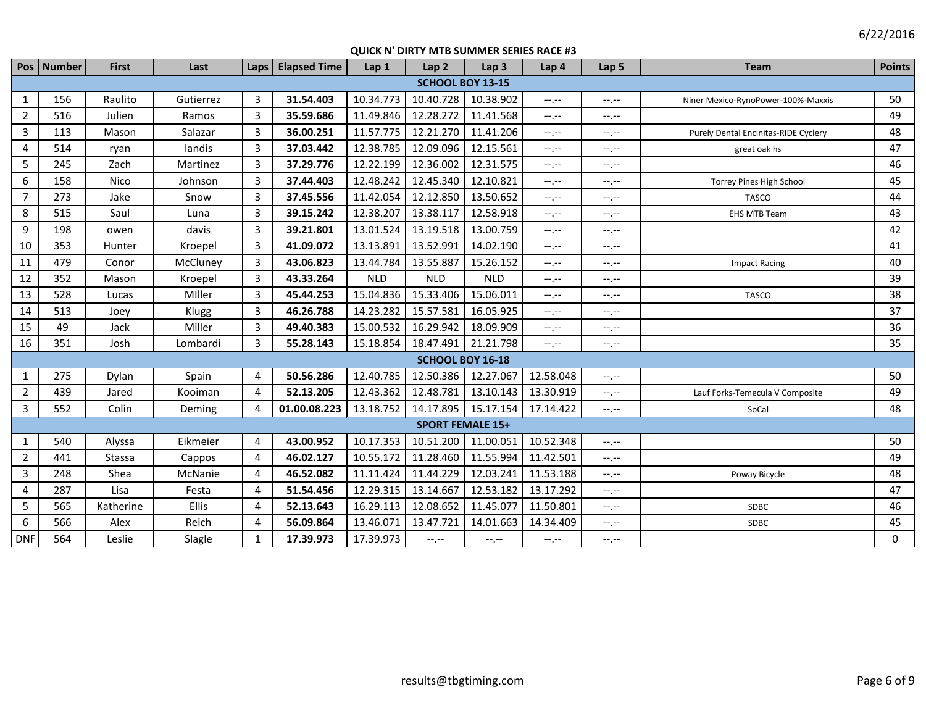|                | Pos Number | <b>First</b> | Last      | Laps           | <b>Elapsed Time</b> | Lap 1      | Lap <sub>2</sub>        | Lap <sub>3</sub>        | Lap 4            | Lap <sub>5</sub> | <b>Team</b>                          | <b>Points</b> |
|----------------|------------|--------------|-----------|----------------|---------------------|------------|-------------------------|-------------------------|------------------|------------------|--------------------------------------|---------------|
|                |            |              |           |                |                     |            | <b>SCHOOL BOY 13-15</b> |                         |                  |                  |                                      |               |
| 1              | 156        | Raulito      | Gutierrez | $\overline{3}$ | 31.54.403           | 10.34.773  | 10.40.728               | 10.38.902               | $-1 - 1 - 1 = 0$ | $-1$ .           | Niner Mexico-RynoPower-100%-Maxxis   | 50            |
| $\overline{2}$ | 516        | Julien       | Ramos     | 3              | 35.59.686           | 11.49.846  | 12.28.272               | 11.41.568               | $-1, -1$         | $-1, -1$         |                                      | 49            |
| $\overline{3}$ | 113        | Mason        | Salazar   | 3              | 36.00.251           | 11.57.775  | 12.21.270               | 11.41.206               | $-1, -1$         | $-1$ . $-1$      | Purely Dental Encinitas-RIDE Cyclery | 48            |
| 4              | 514        | ryan         | landis    | $\overline{3}$ | 37.03.442           | 12.38.785  | 12.09.096               | 12.15.561               | $-1, -1$         | $-1, -1$         | great oak hs                         | 47            |
| 5              | 245        | Zach         | Martinez  | $\overline{3}$ | 37.29.776           | 12.22.199  | 12.36.002               | 12.31.575               | $-1, -1$         | $-1, -1$         |                                      | 46            |
| 6              | 158        | Nico         | Johnson   | 3              | 37.44.403           | 12.48.242  | 12.45.340               | 12.10.821               | $-1, -1$         | $-1, -1$         | <b>Torrey Pines High School</b>      | 45            |
| $\overline{7}$ | 273        | Jake         | Snow      | 3              | 37.45.556           | 11.42.054  | 12.12.850               | 13.50.652               | $-1$             | $-1$             | <b>TASCO</b>                         | 44            |
| 8              | 515        | Saul         | Luna      | $\overline{3}$ | 39.15.242           | 12.38.207  | 13.38.117               | 12.58.918               | $-1$             | $-1 - 1 - 1 = 0$ | <b>EHS MTB Team</b>                  | 43            |
| 9              | 198        | owen         | davis     | 3              | 39.21.801           | 13.01.524  | 13.19.518               | 13.00.759               | $-1$             | $-1$             |                                      | 42            |
| 10             | 353        | Hunter       | Kroepel   | 3              | 41.09.072           | 13.13.891  | 13.52.991               | 14.02.190               | $-1$ , $-1$      | $-1$             |                                      | 41            |
| 11             | 479        | Conor        | McCluney  | $\overline{3}$ | 43.06.823           | 13.44.784  | 13.55.887               | 15.26.152               | $-1$ , $-1$      | $-1, -1$         | <b>Impact Racing</b>                 | 40            |
| 12             | 352        | Mason        | Kroepel   | $\overline{3}$ | 43.33.264           | <b>NLD</b> | <b>NLD</b>              | <b>NLD</b>              | $-1$ , $-1$      | $-1$             |                                      | 39            |
| 13             | 528        | Lucas        | Miller    | 3              | 45.44.253           | 15.04.836  | 15.33.406               | 15.06.011               | $-1, -1$         | $-1$ , $-1$      | <b>TASCO</b>                         | 38            |
| 14             | 513        | Joey         | Klugg     | $\overline{3}$ | 46.26.788           | 14.23.282  | 15.57.581               | 16.05.925               | $-1$ , $-1$      | $-1$ .           |                                      | 37            |
| 15             | 49         | Jack         | Miller    | 3              | 49.40.383           | 15.00.532  | 16.29.942               | 18.09.909               | $-1, -1$         | $-1, -1$         |                                      | 36            |
| 16             | 351        | Josh         | Lombardi  | $\overline{3}$ | 55.28.143           | 15.18.854  | 18.47.491               | 21.21.798               | $-1$ , $-1$      | $-1$ , $-1$      |                                      | 35            |
|                |            |              |           |                |                     |            | <b>SCHOOL BOY 16-18</b> |                         |                  |                  |                                      |               |
| $\mathbf{1}$   | 275        | Dylan        | Spain     | $\overline{4}$ | 50.56.286           | 12.40.785  | 12.50.386               | 12.27.067               | 12.58.048        | $-1 - 1 - 1 = 0$ |                                      | 50            |
| $\overline{2}$ | 439        | Jared        | Kooiman   | 4              | 52.13.205           | 12.43.362  | 12.48.781               | 13.10.143               | 13.30.919        | $-1$ , $-1$      | Lauf Forks-Temecula V Composite      | 49            |
| $\overline{3}$ | 552        | Colin        | Deming    | 4              | 01.00.08.223        | 13.18.752  | 14.17.895               | 15.17.154               | 17.14.422        | $-1$ , $-1$      | SoCal                                | 48            |
|                |            |              |           |                |                     |            |                         | <b>SPORT FEMALE 15+</b> |                  |                  |                                      |               |
| $\mathbf{1}$   | 540        | Alyssa       | Eikmeier  | 4              | 43.00.952           | 10.17.353  | 10.51.200               | 11.00.051               | 10.52.348        | $-1 - 1 - 1 = 0$ |                                      | 50            |
| $\overline{2}$ | 441        | Stassa       | Cappos    | 4              | 46.02.127           | 10.55.172  | 11.28.460               | 11.55.994               | 11.42.501        | $-1 - 1 - 1 = 0$ |                                      | 49            |
| $\overline{3}$ | 248        | Shea         | McNanie   | 4              | 46.52.082           | 11.11.424  | 11.44.229               | 12.03.241               | 11.53.188        | $-1$ .           | Poway Bicycle                        | 48            |
| $\overline{4}$ | 287        | Lisa         | Festa     | 4              | 51.54.456           | 12.29.315  | 13.14.667               | 12.53.182               | 13.17.292        | $-1$ , $-1$      |                                      | 47            |
| 5              | 565        | Katherine    | Ellis     | $\overline{4}$ | 52.13.643           | 16.29.113  | 12.08.652               | 11.45.077               | 11.50.801        | $-1 - 1 - 1 = 0$ | <b>SDBC</b>                          | 46            |
| 6              | 566        | Alex         | Reich     | $\overline{4}$ | 56.09.864           | 13.46.071  | 13.47.721               | 14.01.663               | 14.34.409        | $-1, -1$         | SDBC                                 | 45            |
| <b>DNF</b>     | 564        | Leslie       | Slagle    | 1              | 17.39.973           | 17.39.973  | --.--                   | $-1 - 1 - 1 = 0$        | $-1, -1$         | $-1$ .           |                                      | 0             |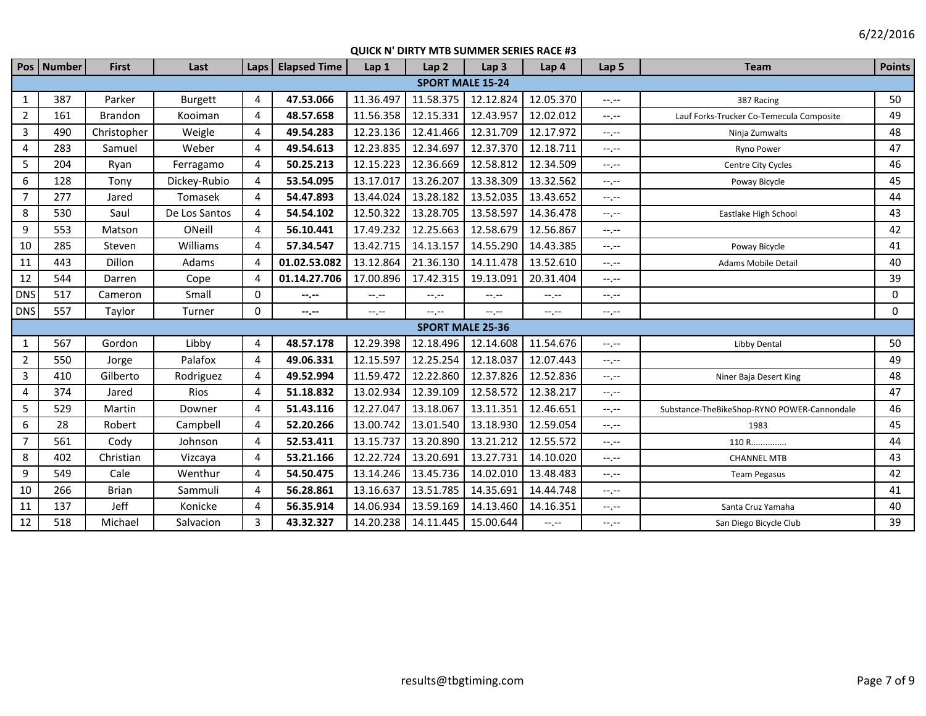|                  | Pos   Number | <b>First</b> | Last           | Laps        | <b>Elapsed Time</b> | Lap 1     | Lap <sub>2</sub>        | Lap <sub>3</sub> | Lap 4     | Lap <sub>5</sub> | <b>Team</b>                                 | <b>Points</b> |
|------------------|--------------|--------------|----------------|-------------|---------------------|-----------|-------------------------|------------------|-----------|------------------|---------------------------------------------|---------------|
|                  |              |              |                |             |                     |           | <b>SPORT MALE 15-24</b> |                  |           |                  |                                             |               |
| $\mathbf{1}$     | 387          | Parker       | <b>Burgett</b> | 4           | 47.53.066           | 11.36.497 | 11.58.375               | 12.12.824        | 12.05.370 | --.--            | 387 Racing                                  | 50            |
| $\overline{2}$   | 161          | Brandon      | Kooiman        | 4           | 48.57.658           | 11.56.358 | 12.15.331               | 12.43.957        | 12.02.012 | $-1$ .           | Lauf Forks-Trucker Co-Temecula Composite    | 49            |
| $\overline{3}$   | 490          | Christopher  | Weigle         | 4           | 49.54.283           | 12.23.136 | 12.41.466               | 12.31.709        | 12.17.972 | $-1$ .           | Ninja Zumwalts                              | 48            |
| 4                | 283          | Samuel       | Weber          | 4           | 49.54.613           | 12.23.835 | 12.34.697               | 12.37.370        | 12.18.711 | $-1$ , $-1$      | Ryno Power                                  | 47            |
| 5                | 204          | Ryan         | Ferragamo      | 4           | 50.25.213           | 12.15.223 | 12.36.669               | 12.58.812        | 12.34.509 | $-1$ .           | Centre City Cycles                          | 46            |
| $\boldsymbol{6}$ | 128          | Tony         | Dickey-Rubio   | 4           | 53.54.095           | 13.17.017 | 13.26.207               | 13.38.309        | 13.32.562 | --.--            | Poway Bicycle                               | 45            |
| $\overline{7}$   | 277          | Jared        | Tomasek        | 4           | 54.47.893           | 13.44.024 | 13.28.182               | 13.52.035        | 13.43.652 | --.--            |                                             | 44            |
| 8                | 530          | Saul         | De Los Santos  | 4           | 54.54.102           | 12.50.322 | 13.28.705               | 13.58.597        | 14.36.478 | $-1$ , $-1$      | Eastlake High School                        | 43            |
| 9                | 553          | Matson       | ONeill         | 4           | 56.10.441           | 17.49.232 | 12.25.663               | 12.58.679        | 12.56.867 | $-1, -1$         |                                             | 42            |
| 10               | 285          | Steven       | Williams       | 4           | 57.34.547           | 13.42.715 | 14.13.157               | 14.55.290        | 14.43.385 | $-1$ .           | Poway Bicycle                               | 41            |
| 11               | 443          | Dillon       | Adams          | 4           | 01.02.53.082        | 13.12.864 | 21.36.130               | 14.11.478        | 13.52.610 | $-1$             | <b>Adams Mobile Detail</b>                  | 40            |
| 12               | 544          | Darren       | Cope           | 4           | 01.14.27.706        | 17.00.896 | 17.42.315               | 19.13.091        | 20.31.404 | $-1$             |                                             | 39            |
| <b>DNS</b>       | 517          | Cameron      | Small          | 0           | --.--               | --.--     | --.--                   | --.--            | $-1, -1$  | $-1$ .           |                                             | $\mathbf 0$   |
| <b>DNS</b>       | 557          | Taylor       | Turner         | $\mathbf 0$ | --.--               | $-1, -1$  | $-1 - 1 - 1 = 0$        | --.--            | $-1, -1$  | --.--            |                                             | $\mathbf 0$   |
|                  |              |              |                |             |                     |           | <b>SPORT MALE 25-36</b> |                  |           |                  |                                             |               |
| $\mathbf{1}$     | 567          | Gordon       | Libby          | 4           | 48.57.178           | 12.29.398 | 12.18.496               | 12.14.608        | 11.54.676 | $-1 - 1 - 1 = 0$ | Libby Dental                                | 50            |
| $\overline{2}$   | 550          | Jorge        | Palafox        | 4           | 49.06.331           | 12.15.597 | 12.25.254               | 12.18.037        | 12.07.443 | $-1$             |                                             | 49            |
| 3                | 410          | Gilberto     | Rodriguez      | 4           | 49.52.994           | 11.59.472 | 12.22.860               | 12.37.826        | 12.52.836 | $-1, -1$         | Niner Baja Desert King                      | 48            |
| 4                | 374          | Jared        | Rios           | 4           | 51.18.832           | 13.02.934 | 12.39.109               | 12.58.572        | 12.38.217 | $-1$ , $-1$      |                                             | 47            |
| 5                | 529          | Martin       | Downer         | 4           | 51.43.116           | 12.27.047 | 13.18.067               | 13.11.351        | 12.46.651 | $-1$ , $-1$      | Substance-TheBikeShop-RYNO POWER-Cannondale | 46            |
| 6                | 28           | Robert       | Campbell       | 4           | 52.20.266           | 13.00.742 | 13.01.540               | 13.18.930        | 12.59.054 | $-1$ .           | 1983                                        | 45            |
| $\overline{7}$   | 561          | Cody         | Johnson        | 4           | 52.53.411           | 13.15.737 | 13.20.890               | 13.21.212        | 12.55.572 | $-1$ , $-1$      | 110 R                                       | 44            |
| 8                | 402          | Christian    | Vizcaya        | 4           | 53.21.166           | 12.22.724 | 13.20.691               | 13.27.731        | 14.10.020 | --.--            | <b>CHANNEL MTB</b>                          | 43            |
| 9                | 549          | Cale         | Wenthur        | 4           | 54.50.475           | 13.14.246 | 13.45.736               | 14.02.010        | 13.48.483 | $-1$             | <b>Team Pegasus</b>                         | 42            |
| 10               | 266          | <b>Brian</b> | Sammuli        | 4           | 56.28.861           | 13.16.637 | 13.51.785               | 14.35.691        | 14.44.748 | $-1, -1$         |                                             | 41            |
| 11               | 137          | Jeff         | Konicke        | 4           | 56.35.914           | 14.06.934 | 13.59.169               | 14.13.460        | 14.16.351 | $-1 - 1 - 1 = 0$ | Santa Cruz Yamaha                           | 40            |
| 12               | 518          | Michael      | Salvacion      | 3           | 43.32.327           | 14.20.238 | 14.11.445               | 15.00.644        | $-1, -1$  | $-1, -1$         | San Diego Bicycle Club                      | 39            |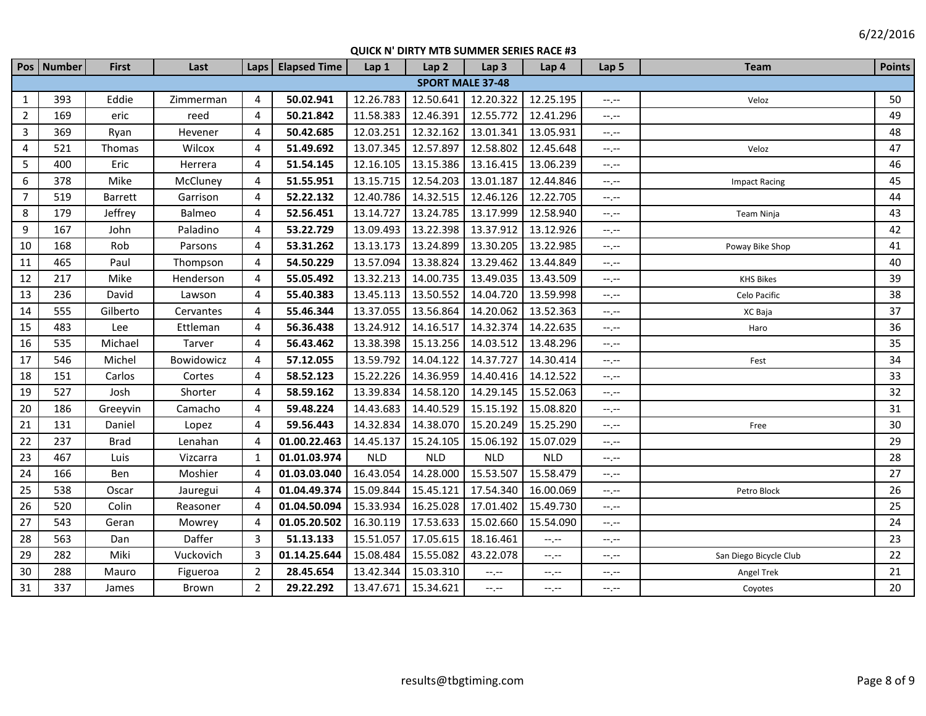|                | Pos Number | <b>First</b> | Last       | Laps                    | <b>Elapsed Time</b> | Lap 1      | Lap <sub>2</sub>        | Lap <sub>3</sub> | Lap 4      | Lap 5       | <b>Team</b>            | <b>Points</b> |
|----------------|------------|--------------|------------|-------------------------|---------------------|------------|-------------------------|------------------|------------|-------------|------------------------|---------------|
|                |            |              |            |                         |                     |            | <b>SPORT MALE 37-48</b> |                  |            |             |                        |               |
| 1              | 393        | Eddie        | Zimmerman  | 4                       | 50.02.941           | 12.26.783  | 12.50.641               | 12.20.322        | 12.25.195  | $-1$ , $-1$ | Veloz                  | 50            |
| $\overline{2}$ | 169        | eric         | reed       | 4                       | 50.21.842           | 11.58.383  | 12.46.391               | 12.55.772        | 12.41.296  | $-1$ , $-1$ |                        | 49            |
| $\overline{3}$ | 369        | Ryan         | Hevener    | 4                       | 50.42.685           | 12.03.251  | 12.32.162               | 13.01.341        | 13.05.931  | $-1$ , $-1$ |                        | 48            |
| 4              | 521        | Thomas       | Wilcox     | 4                       | 51.49.692           | 13.07.345  | 12.57.897               | 12.58.802        | 12.45.648  | $-1$ .      | Veloz                  | 47            |
| 5              | 400        | Eric         | Herrera    | 4                       | 51.54.145           | 12.16.105  | 13.15.386               | 13.16.415        | 13.06.239  | $-1$ , $-1$ |                        | 46            |
| 6              | 378        | Mike         | McCluney   | 4                       | 51.55.951           | 13.15.715  | 12.54.203               | 13.01.187        | 12.44.846  | $-1, -1$    | <b>Impact Racing</b>   | 45            |
| $\overline{7}$ | 519        | Barrett      | Garrison   | 4                       | 52.22.132           | 12.40.786  | 14.32.515               | 12.46.126        | 12.22.705  | $--, --$    |                        | 44            |
| 8              | 179        | Jeffrey      | Balmeo     | 4                       | 52.56.451           | 13.14.727  | 13.24.785               | 13.17.999        | 12.58.940  | $-1$ .      | Team Ninja             | 43            |
| 9              | 167        | John         | Paladino   | 4                       | 53.22.729           | 13.09.493  | 13.22.398               | 13.37.912        | 13.12.926  | $-1$ .      |                        | 42            |
| 10             | 168        | Rob          | Parsons    | 4                       | 53.31.262           | 13.13.173  | 13.24.899               | 13.30.205        | 13.22.985  | $-1, -1$    | Poway Bike Shop        | 41            |
| 11             | 465        | Paul         | Thompson   | $\overline{\mathbf{4}}$ | 54.50.229           | 13.57.094  | 13.38.824               | 13.29.462        | 13.44.849  | $-1$ .      |                        | 40            |
| 12             | 217        | Mike         | Henderson  | 4                       | 55.05.492           | 13.32.213  | 14.00.735               | 13.49.035        | 13.43.509  | $-1$ .      | <b>KHS Bikes</b>       | 39            |
| 13             | 236        | David        | Lawson     | 4                       | 55.40.383           | 13.45.113  | 13.50.552               | 14.04.720        | 13.59.998  | $-1$        | Celo Pacific           | 38            |
| 14             | 555        | Gilberto     | Cervantes  | 4                       | 55.46.344           | 13.37.055  | 13.56.864               | 14.20.062        | 13.52.363  | $-$ , $-$   | XC Baja                | 37            |
| 15             | 483        | Lee          | Ettleman   | 4                       | 56.36.438           | 13.24.912  | 14.16.517               | 14.32.374        | 14.22.635  | --,--       | Haro                   | 36            |
| 16             | 535        | Michael      | Tarver     | 4                       | 56.43.462           | 13.38.398  | 15.13.256               | 14.03.512        | 13.48.296  | --,--       |                        | 35            |
| 17             | 546        | Michel       | Bowidowicz | 4                       | 57.12.055           | 13.59.792  | 14.04.122               | 14.37.727        | 14.30.414  | $-1$        | Fest                   | 34            |
| 18             | 151        | Carlos       | Cortes     | 4                       | 58.52.123           | 15.22.226  | 14.36.959               | 14.40.416        | 14.12.522  | $-1$ .      |                        | 33            |
| 19             | 527        | Josh         | Shorter    | 4                       | 58.59.162           | 13.39.834  | 14.58.120               | 14.29.145        | 15.52.063  | --.--       |                        | 32            |
| 20             | 186        | Greeyvin     | Camacho    | 4                       | 59.48.224           | 14.43.683  | 14.40.529               | 15.15.192        | 15.08.820  | $-1$        |                        | 31            |
| 21             | 131        | Daniel       | Lopez      | 4                       | 59.56.443           | 14.32.834  | 14.38.070               | 15.20.249        | 15.25.290  | $-1$ .      | Free                   | 30            |
| 22             | 237        | <b>Brad</b>  | Lenahan    | 4                       | 01.00.22.463        | 14.45.137  | 15.24.105               | 15.06.192        | 15.07.029  | $-1, -1$    |                        | 29            |
| 23             | 467        | Luis         | Vizcarra   | $\mathbf{1}$            | 01.01.03.974        | <b>NLD</b> | <b>NLD</b>              | <b>NLD</b>       | <b>NLD</b> | $-1$ . $-1$ |                        | 28            |
| 24             | 166        | Ben          | Moshier    | 4                       | 01.03.03.040        | 16.43.054  | 14.28.000               | 15.53.507        | 15.58.479  | $-1$ , $-1$ |                        | 27            |
| 25             | 538        | Oscar        | Jauregui   | 4                       | 01.04.49.374        | 15.09.844  | 15.45.121               | 17.54.340        | 16.00.069  | $-1$ .      | Petro Block            | 26            |
| 26             | 520        | Colin        | Reasoner   | $\overline{4}$          | 01.04.50.094        | 15.33.934  | 16.25.028               | 17.01.402        | 15.49.730  | $-1$ .      |                        | 25            |
| 27             | 543        | Geran        | Mowrey     | 4                       | 01.05.20.502        | 16.30.119  | 17.53.633               | 15.02.660        | 15.54.090  | $-1$ , $-1$ |                        | 24            |
| 28             | 563        | Dan          | Daffer     | 3                       | 51.13.133           | 15.51.057  | 17.05.615               | 18.16.461        | $-1, -1$   | $-1, -1$    |                        | 23            |
| 29             | 282        | Miki         | Vuckovich  | 3                       | 01.14.25.644        | 15.08.484  | 15.55.082               | 43.22.078        | $-1, -1$   | $-1$ , $-1$ | San Diego Bicycle Club | 22            |
| 30             | 288        | Mauro        | Figueroa   | $\overline{2}$          | 28.45.654           | 13.42.344  | 15.03.310               | --.--            | $-1, -1$   | $-1, -1$    | Angel Trek             | 21            |
| 31             | 337        | James        | Brown      | $\overline{2}$          | 29.22.292           | 13.47.671  | 15.34.621               | $-1, -1$         | $-1, -1$   | $-1$ , $-1$ | Coyotes                | 20            |